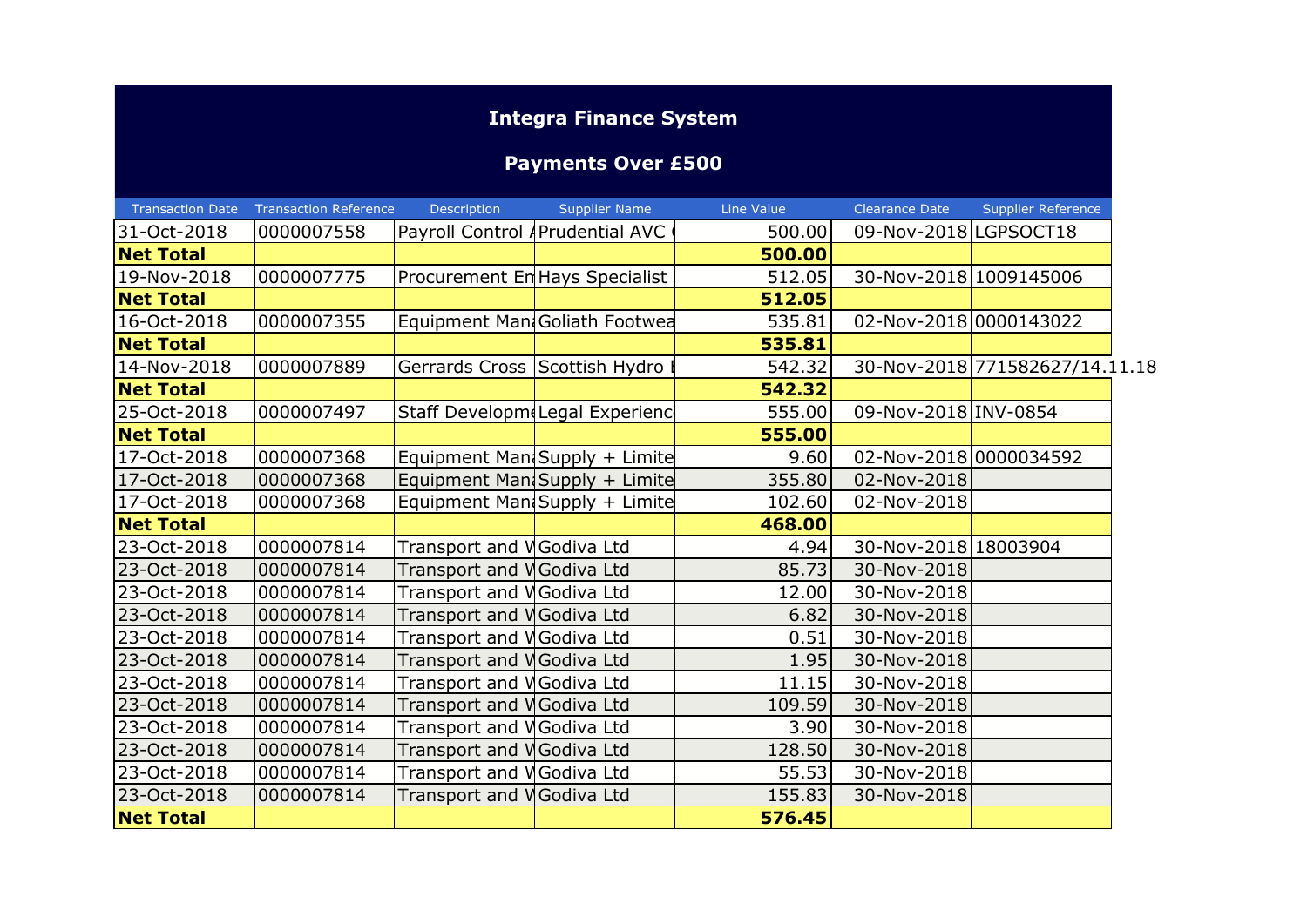## **Integra Finance System**

## **Payments Over £500**

| <b>Transaction Date</b> | <b>Transaction Reference</b> | Description                       | <b>Supplier Name</b>                    | Line Value | Clearance Date         | <b>Supplier Reference</b>      |  |
|-------------------------|------------------------------|-----------------------------------|-----------------------------------------|------------|------------------------|--------------------------------|--|
| 31-Oct-2018             | 0000007558                   |                                   | Payroll Control <i>A</i> Prudential AVC | 500.00     | 09-Nov-2018 LGPSOCT18  |                                |  |
| <b>Net Total</b>        |                              |                                   |                                         | 500.00     |                        |                                |  |
| 19-Nov-2018             | 0000007775                   |                                   | Procurement En Hays Specialist          | 512.05     | 30-Nov-2018 1009145006 |                                |  |
| <b>Net Total</b>        |                              |                                   |                                         | 512.05     |                        |                                |  |
| 16-Oct-2018             | 0000007355                   |                                   | Equipment Man Goliath Footwea           | 535.81     | 02-Nov-2018 0000143022 |                                |  |
| <b>Net Total</b>        |                              |                                   |                                         | 535.81     |                        |                                |  |
| 14-Nov-2018             | 0000007889                   |                                   | Gerrards Cross Scottish Hydro           | 542.32     |                        | 30-Nov-2018 771582627/14.11.18 |  |
| <b>Net Total</b>        |                              |                                   |                                         | 542.32     |                        |                                |  |
| 25-Oct-2018             | 0000007497                   |                                   | Staff Developm Legal Experienc          | 555.00     | 09-Nov-2018 INV-0854   |                                |  |
| <b>Net Total</b>        |                              |                                   |                                         | 555.00     |                        |                                |  |
| 17-Oct-2018             | 0000007368                   |                                   | Equipment Man Supply + Limite           | 9.60       | 02-Nov-2018 0000034592 |                                |  |
| 17-Oct-2018             | 0000007368                   |                                   | Equipment Man Supply + Limite           | 355.80     | 02-Nov-2018            |                                |  |
| 17-Oct-2018             | 0000007368                   |                                   | Equipment Man Supply + Limite           | 102.60     | 02-Nov-2018            |                                |  |
| <b>Net Total</b>        |                              |                                   |                                         | 468.00     |                        |                                |  |
| 23-Oct-2018             | 0000007814                   | Transport and VGodiva Ltd         |                                         | 4.94       | 30-Nov-2018 18003904   |                                |  |
| 23-Oct-2018             | 0000007814                   | Transport and VGodiva Ltd         |                                         | 85.73      | 30-Nov-2018            |                                |  |
| 23-Oct-2018             | 0000007814                   | Transport and <i>N</i> Godiva Ltd |                                         | 12.00      | 30-Nov-2018            |                                |  |
| 23-Oct-2018             | 0000007814                   | Transport and VGodiva Ltd         |                                         | 6.82       | 30-Nov-2018            |                                |  |
| 23-Oct-2018             | 0000007814                   | Transport and VGodiva Ltd         |                                         | 0.51       | 30-Nov-2018            |                                |  |
| 23-Oct-2018             | 0000007814                   | Transport and VGodiva Ltd         |                                         | 1.95       | 30-Nov-2018            |                                |  |
| 23-Oct-2018             | 0000007814                   | Transport and <i>N</i> Godiva Ltd |                                         | 11.15      | 30-Nov-2018            |                                |  |
| 23-Oct-2018             | 0000007814                   | Transport and VGodiva Ltd         |                                         | 109.59     | 30-Nov-2018            |                                |  |
| 23-Oct-2018             | 0000007814                   | Transport and VGodiva Ltd         |                                         | 3.90       | 30-Nov-2018            |                                |  |
| 23-Oct-2018             | 0000007814                   | Transport and VGodiva Ltd         |                                         | 128.50     | 30-Nov-2018            |                                |  |
| 23-Oct-2018             | 0000007814                   | Transport and VGodiva Ltd         |                                         | 55.53      | 30-Nov-2018            |                                |  |
| 23-Oct-2018             | 0000007814                   | Transport and VGodiva Ltd         |                                         | 155.83     | 30-Nov-2018            |                                |  |
| <b>Net Total</b>        |                              |                                   |                                         | 576.45     |                        |                                |  |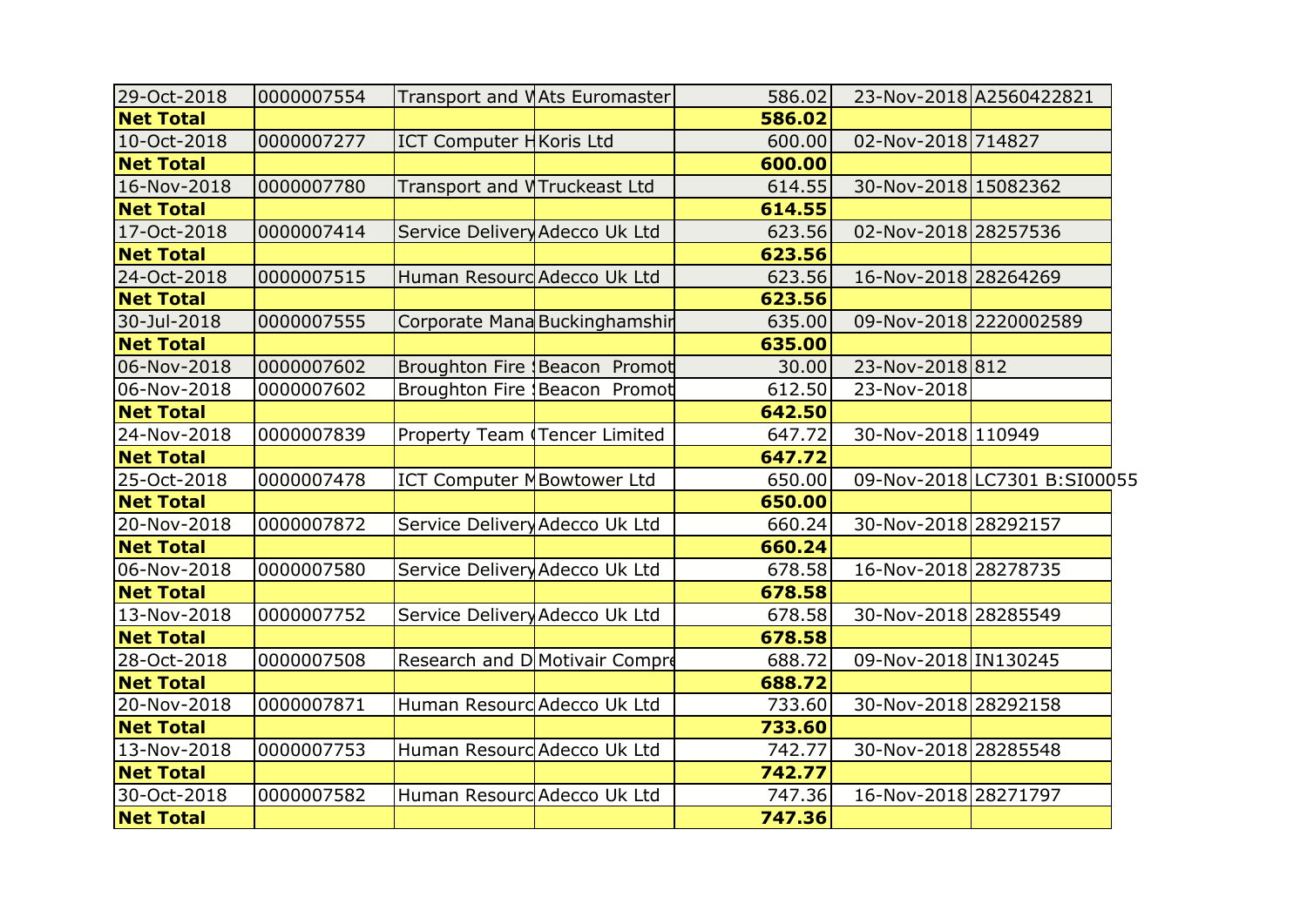| 29-Oct-2018      | 0000007554 |                                   | Transport and VAts Euromaster  | 586.02 |                        | 23-Nov-2018 A2560422821      |
|------------------|------------|-----------------------------------|--------------------------------|--------|------------------------|------------------------------|
| <b>Net Total</b> |            |                                   |                                | 586.02 |                        |                              |
| 10-Oct-2018      | 0000007277 | <b>ICT Computer HKoris Ltd</b>    |                                | 600.00 | 02-Nov-2018 714827     |                              |
| <b>Net Total</b> |            |                                   |                                | 600.00 |                        |                              |
| 16-Nov-2018      | 0000007780 | Transport and VTruckeast Ltd      |                                | 614.55 | 30-Nov-2018 15082362   |                              |
| <b>Net Total</b> |            |                                   |                                | 614.55 |                        |                              |
| 17-Oct-2018      | 0000007414 | Service Delivery Adecco Uk Ltd    |                                | 623.56 | 02-Nov-2018 28257536   |                              |
| <b>Net Total</b> |            |                                   |                                | 623.56 |                        |                              |
| 24-Oct-2018      | 0000007515 | Human Resourd Adecco Uk Ltd       |                                | 623.56 | 16-Nov-2018 28264269   |                              |
| <b>Net Total</b> |            |                                   |                                | 623.56 |                        |                              |
| 30-Jul-2018      | 0000007555 |                                   | Corporate Mana Buckinghamshir  | 635.00 | 09-Nov-2018 2220002589 |                              |
| <b>Net Total</b> |            |                                   |                                | 635.00 |                        |                              |
| 06-Nov-2018      | 0000007602 |                                   | Broughton Fire Beacon Promot   | 30.00  | 23-Nov-2018 812        |                              |
| 06-Nov-2018      | 0000007602 |                                   | Broughton Fire Beacon Promot   | 612.50 | 23-Nov-2018            |                              |
| <b>Net Total</b> |            |                                   |                                | 642.50 |                        |                              |
| 24-Nov-2018      | 0000007839 |                                   | Property Team (Tencer Limited  | 647.72 | 30-Nov-2018 110949     |                              |
| <b>Net Total</b> |            |                                   |                                | 647.72 |                        |                              |
| 25-Oct-2018      | 0000007478 | <b>ICT Computer MBowtower Ltd</b> |                                | 650.00 |                        | 09-Nov-2018 LC7301 B:SI00055 |
| <b>Net Total</b> |            |                                   |                                | 650.00 |                        |                              |
| 20-Nov-2018      | 0000007872 | Service Delivery Adecco Uk Ltd    |                                | 660.24 | 30-Nov-2018 28292157   |                              |
| <b>Net Total</b> |            |                                   |                                | 660.24 |                        |                              |
| 06-Nov-2018      | 0000007580 | Service Delivery Adecco Uk Ltd    |                                | 678.58 | 16-Nov-2018 28278735   |                              |
| <b>Net Total</b> |            |                                   |                                | 678.58 |                        |                              |
| 13-Nov-2018      | 0000007752 | Service Delivery Adecco Uk Ltd    |                                | 678.58 | 30-Nov-2018 28285549   |                              |
| <b>Net Total</b> |            |                                   |                                | 678.58 |                        |                              |
| 28-Oct-2018      | 0000007508 |                                   | Research and D Motivair Compre | 688.72 | 09-Nov-2018 IN130245   |                              |
| <b>Net Total</b> |            |                                   |                                | 688.72 |                        |                              |
| 20-Nov-2018      | 0000007871 | Human Resourd Adecco Uk Ltd       |                                | 733.60 | 30-Nov-2018 28292158   |                              |
| <b>Net Total</b> |            |                                   |                                | 733.60 |                        |                              |
| 13-Nov-2018      | 0000007753 | Human Resourd Adecco Uk Ltd       |                                | 742.77 | 30-Nov-2018 28285548   |                              |
| <b>Net Total</b> |            |                                   |                                | 742.77 |                        |                              |
| 30-Oct-2018      | 0000007582 | Human Resourd Adecco Uk Ltd       |                                | 747.36 | 16-Nov-2018 28271797   |                              |
| <b>Net Total</b> |            |                                   |                                | 747.36 |                        |                              |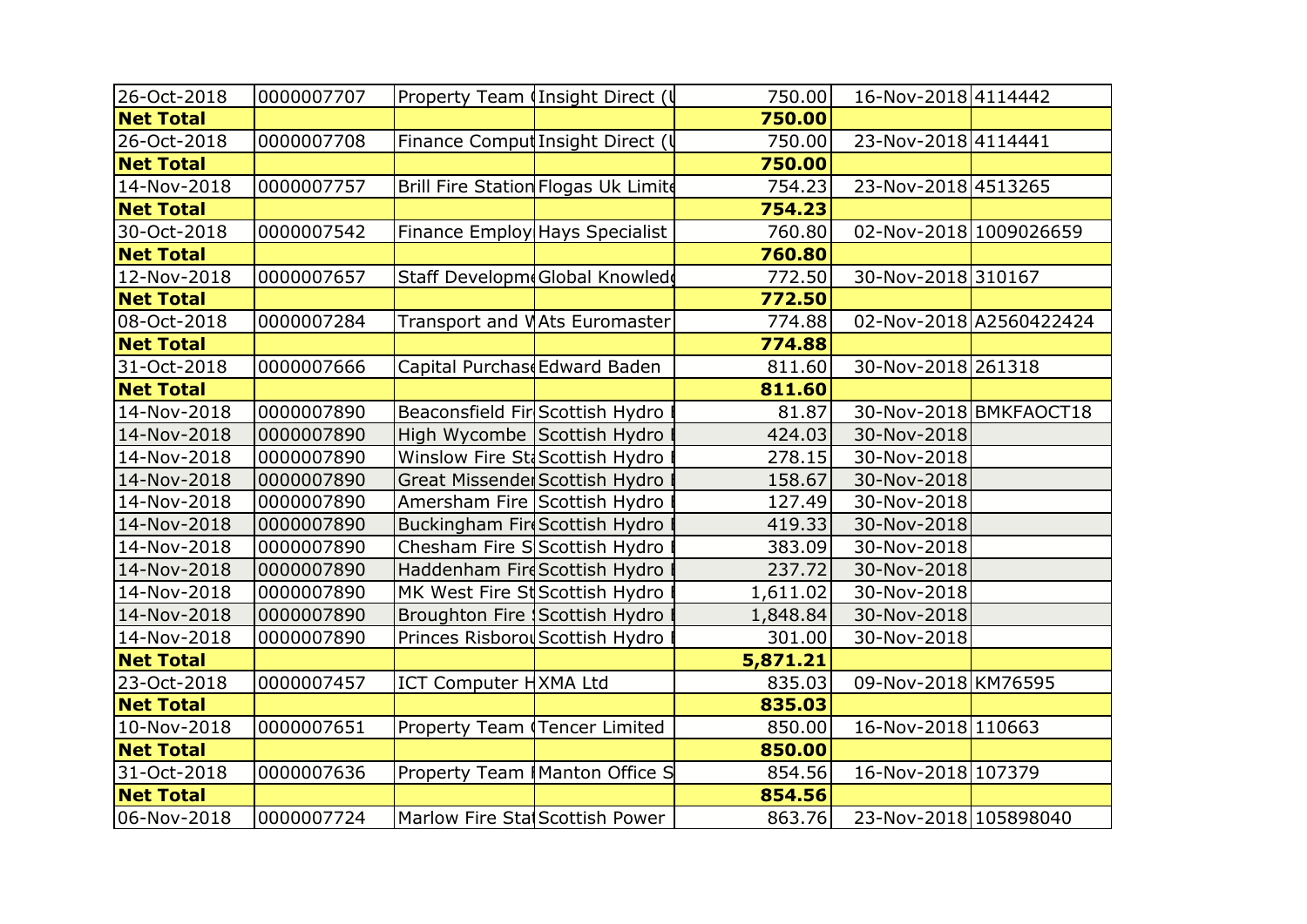| 26-Oct-2018      | 0000007707 |                                 | Property Team (Insight Direct (     | 750.00   | 16-Nov-2018 4114442    |                         |
|------------------|------------|---------------------------------|-------------------------------------|----------|------------------------|-------------------------|
| <b>Net Total</b> |            |                                 |                                     | 750.00   |                        |                         |
| 26-Oct-2018      | 0000007708 |                                 | Finance Comput Insight Direct (1    | 750.00   | 23-Nov-2018 4114441    |                         |
| <b>Net Total</b> |            |                                 |                                     | 750.00   |                        |                         |
| 14-Nov-2018      | 0000007757 |                                 | Brill Fire Station Flogas Uk Limite | 754.23   | 23-Nov-2018 4513265    |                         |
| <b>Net Total</b> |            |                                 |                                     | 754.23   |                        |                         |
| 30-Oct-2018      | 0000007542 |                                 | Finance Employ Hays Specialist      | 760.80   | 02-Nov-2018 1009026659 |                         |
| <b>Net Total</b> |            |                                 |                                     | 760.80   |                        |                         |
| 12-Nov-2018      | 0000007657 |                                 | Staff Developm Global Knowled       | 772.50   | 30-Nov-2018 310167     |                         |
| <b>Net Total</b> |            |                                 |                                     | 772.50   |                        |                         |
| 08-Oct-2018      | 0000007284 |                                 | Transport and VAts Euromaster       | 774.88   |                        | 02-Nov-2018 A2560422424 |
| <b>Net Total</b> |            |                                 |                                     | 774.88   |                        |                         |
| 31-Oct-2018      | 0000007666 | Capital Purchas Edward Baden    |                                     | 811.60   | 30-Nov-2018 261318     |                         |
| <b>Net Total</b> |            |                                 |                                     | 811.60   |                        |                         |
| 14-Nov-2018      | 0000007890 | Beaconsfield Fir Scottish Hydro |                                     | 81.87    |                        | 30-Nov-2018 BMKFAOCT18  |
| 14-Nov-2018      | 0000007890 | High Wycombe Scottish Hydro     |                                     | 424.03   | 30-Nov-2018            |                         |
| 14-Nov-2018      | 0000007890 | Winslow Fire Sta Scottish Hydro |                                     | 278.15   | 30-Nov-2018            |                         |
| 14-Nov-2018      | 0000007890 | Great Missender Scottish Hydro  |                                     | 158.67   | 30-Nov-2018            |                         |
| 14-Nov-2018      | 0000007890 | Amersham Fire Scottish Hydro    |                                     | 127.49   | 30-Nov-2018            |                         |
| 14-Nov-2018      | 0000007890 | Buckingham FireScottish Hydro   |                                     | 419.33   | 30-Nov-2018            |                         |
| 14-Nov-2018      | 0000007890 | Chesham Fire SS Scottish Hydro  |                                     | 383.09   | 30-Nov-2018            |                         |
| 14-Nov-2018      | 0000007890 | Haddenham Fire Scottish Hydro   |                                     | 237.72   | 30-Nov-2018            |                         |
| 14-Nov-2018      | 0000007890 | MK West Fire St Scottish Hydro  |                                     | 1,611.02 | 30-Nov-2018            |                         |
| 14-Nov-2018      | 0000007890 | Broughton Fire Scottish Hydro   |                                     | 1,848.84 | 30-Nov-2018            |                         |
| 14-Nov-2018      | 0000007890 | Princes Risborou Scottish Hydro |                                     | 301.00   | 30-Nov-2018            |                         |
| <b>Net Total</b> |            |                                 |                                     | 5,871.21 |                        |                         |
| 23-Oct-2018      | 0000007457 | ICT Computer HXMA Ltd           |                                     | 835.03   | 09-Nov-2018 KM76595    |                         |
| <b>Net Total</b> |            |                                 |                                     | 835.03   |                        |                         |
| 10-Nov-2018      | 0000007651 | Property Team (Tencer Limited   |                                     | 850.00   | 16-Nov-2018 110663     |                         |
| <b>Net Total</b> |            |                                 |                                     | 850.00   |                        |                         |
| 31-Oct-2018      | 0000007636 |                                 | Property Team   Manton Office S     | 854.56   | 16-Nov-2018 107379     |                         |
| <b>Net Total</b> |            |                                 |                                     | 854.56   |                        |                         |
| 06-Nov-2018      | 0000007724 | Marlow Fire Stal Scottish Power |                                     | 863.76   | 23-Nov-2018 105898040  |                         |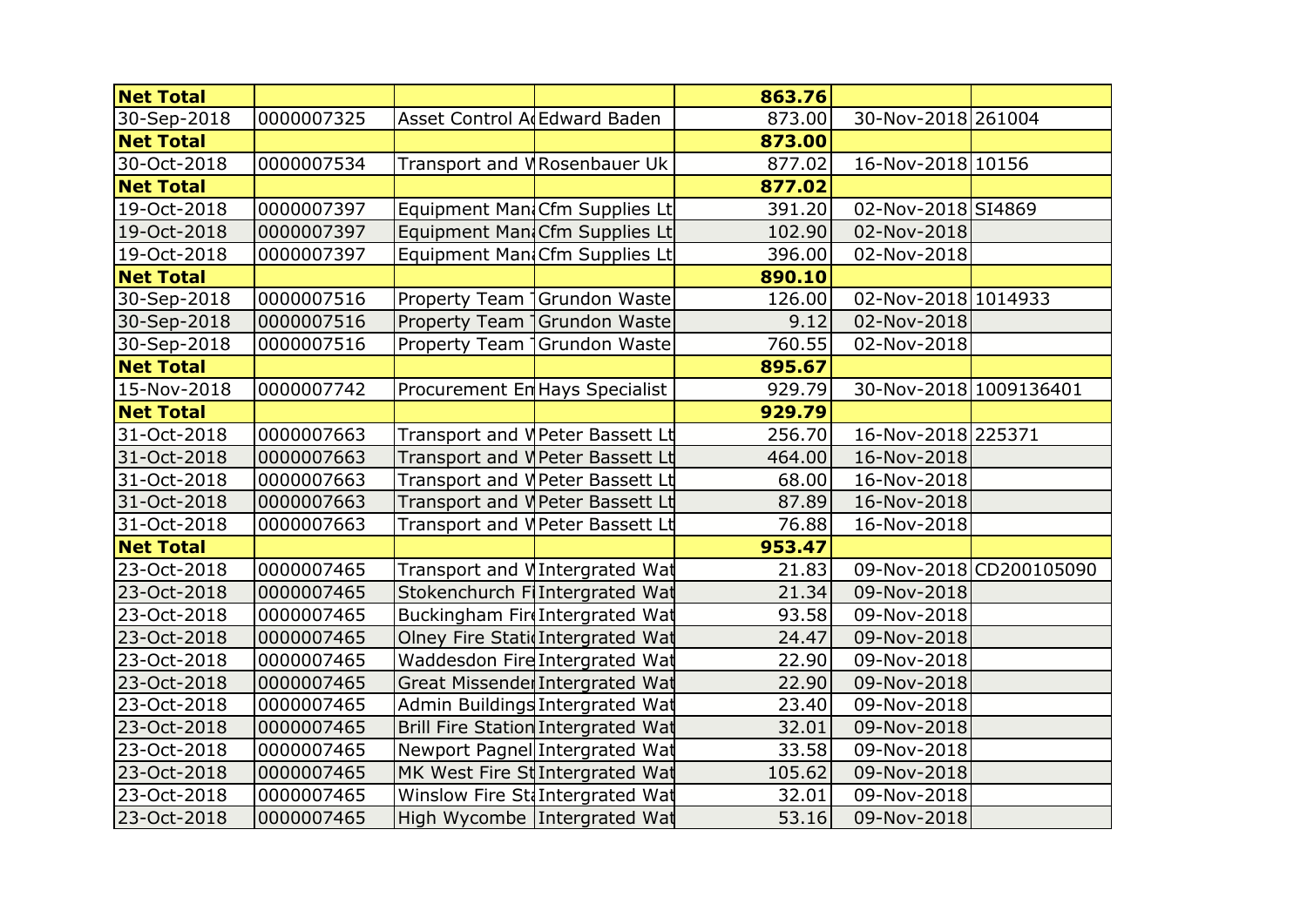| <b>Net Total</b> |            |                              |                                    | 863.76 |                        |                         |
|------------------|------------|------------------------------|------------------------------------|--------|------------------------|-------------------------|
| 30-Sep-2018      | 0000007325 | Asset Control A Edward Baden |                                    | 873.00 | 30-Nov-2018 261004     |                         |
| <b>Net Total</b> |            |                              |                                    | 873.00 |                        |                         |
| 30-Oct-2018      | 0000007534 |                              | Transport and V Rosenbauer Uk      | 877.02 | 16-Nov-2018 10156      |                         |
| <b>Net Total</b> |            |                              |                                    | 877.02 |                        |                         |
| 19-Oct-2018      | 0000007397 |                              | Equipment Man Cfm Supplies Lt      | 391.20 | 02-Nov-2018 SI4869     |                         |
| 19-Oct-2018      | 0000007397 |                              | Equipment Man Cfm Supplies Lt      | 102.90 | 02-Nov-2018            |                         |
| 19-Oct-2018      | 0000007397 |                              | Equipment Man Cfm Supplies Lt      | 396.00 | 02-Nov-2018            |                         |
| <b>Net Total</b> |            |                              |                                    | 890.10 |                        |                         |
| 30-Sep-2018      | 0000007516 |                              | Property Team   Grundon Waste      | 126.00 | 02-Nov-2018 1014933    |                         |
| 30-Sep-2018      | 0000007516 |                              | Property Team Grundon Waste        | 9.12   | 02-Nov-2018            |                         |
| 30-Sep-2018      | 0000007516 |                              | Property Team   Grundon Waste      | 760.55 | 02-Nov-2018            |                         |
| <b>Net Total</b> |            |                              |                                    | 895.67 |                        |                         |
| 15-Nov-2018      | 0000007742 |                              | Procurement En Hays Specialist     | 929.79 | 30-Nov-2018 1009136401 |                         |
| <b>Net Total</b> |            |                              |                                    | 929.79 |                        |                         |
| 31-Oct-2018      | 0000007663 |                              | Transport and V Peter Bassett Lt   | 256.70 | 16-Nov-2018 225371     |                         |
| 31-Oct-2018      | 0000007663 |                              | Transport and V Peter Bassett Lt   | 464.00 | 16-Nov-2018            |                         |
| 31-Oct-2018      | 0000007663 |                              | Transport and V Peter Bassett Lt   | 68.00  | 16-Nov-2018            |                         |
| 31-Oct-2018      | 0000007663 |                              | Transport and V Peter Bassett Lt   | 87.89  | 16-Nov-2018            |                         |
| 31-Oct-2018      | 0000007663 |                              | Transport and V Peter Bassett Lt   | 76.88  | 16-Nov-2018            |                         |
| <b>Net Total</b> |            |                              |                                    | 953.47 |                        |                         |
| 23-Oct-2018      | 0000007465 |                              | Transport and VIntergrated Wat     | 21.83  |                        | 09-Nov-2018 CD200105090 |
| 23-Oct-2018      | 0000007465 |                              | Stokenchurch FiIntergrated Wat     | 21.34  | 09-Nov-2018            |                         |
| 23-Oct-2018      | 0000007465 |                              | Buckingham FireIntergrated Wat     | 93.58  | 09-Nov-2018            |                         |
| 23-Oct-2018      | 0000007465 |                              | Olney Fire Stati Intergrated Wat   | 24.47  | 09-Nov-2018            |                         |
| 23-Oct-2018      | 0000007465 |                              | Waddesdon Fire Intergrated Wat     | 22.90  | 09-Nov-2018            |                         |
| 23-Oct-2018      | 0000007465 |                              | Great Missender Intergrated Wat    | 22.90  | 09-Nov-2018            |                         |
| 23-Oct-2018      | 0000007465 |                              | Admin Buildings Intergrated Wat    | 23.40  | 09-Nov-2018            |                         |
| 23-Oct-2018      | 0000007465 |                              | Brill Fire Station Intergrated Wat | 32.01  | 09-Nov-2018            |                         |
| 23-Oct-2018      | 0000007465 |                              | Newport Pagnel Intergrated Wat     | 33.58  | 09-Nov-2018            |                         |
| 23-Oct-2018      | 0000007465 |                              | MK West Fire St Intergrated Wat    | 105.62 | 09-Nov-2018            |                         |
| 23-Oct-2018      | 0000007465 |                              | Winslow Fire St. Intergrated Wat   | 32.01  | 09-Nov-2018            |                         |
| 23-Oct-2018      | 0000007465 |                              | High Wycombe Intergrated Wat       | 53.16  | 09-Nov-2018            |                         |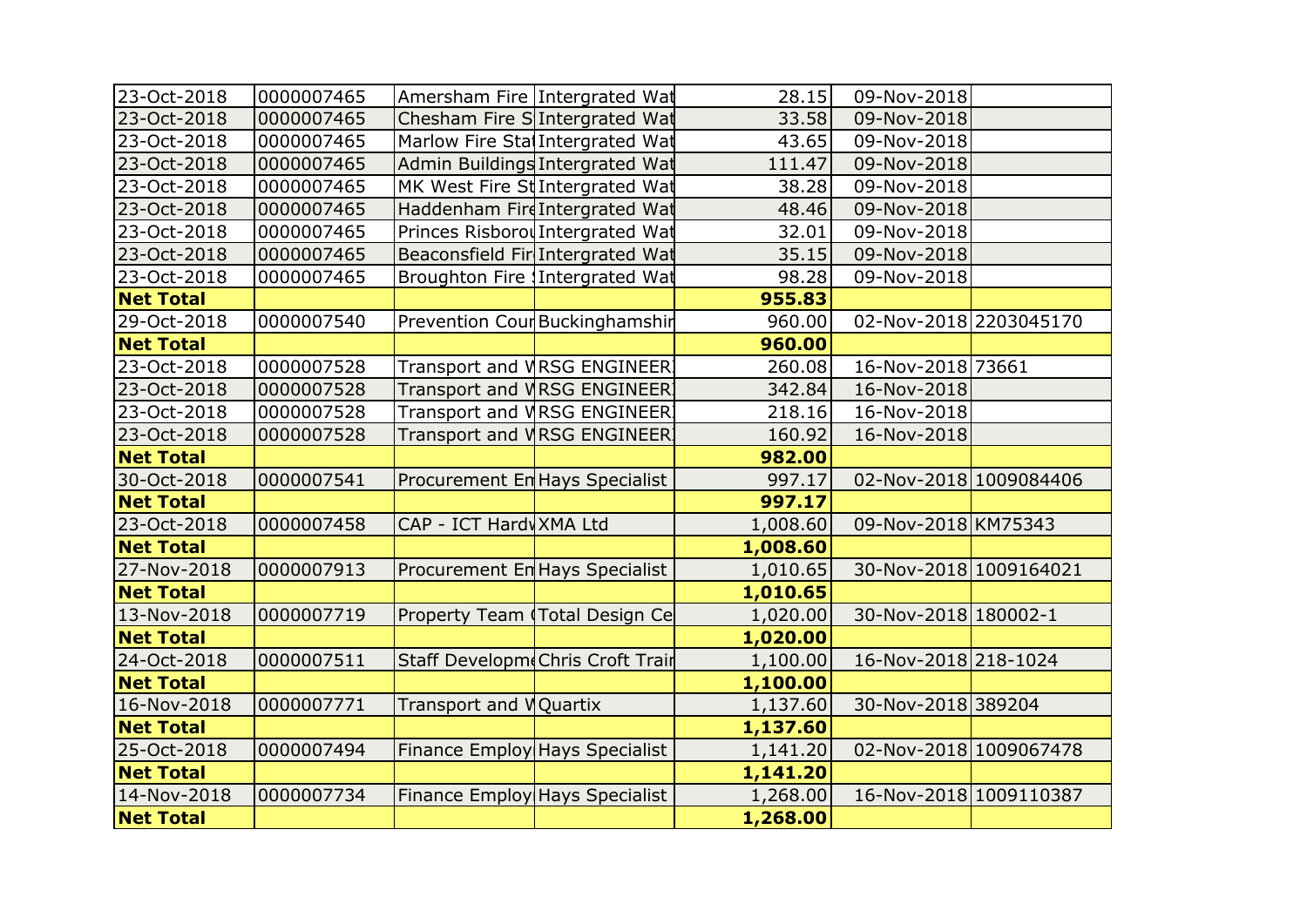| 23-Oct-2018      | 0000007465 |                                | Amersham Fire Intergrated Wat    | 28.15    | 09-Nov-2018            |  |
|------------------|------------|--------------------------------|----------------------------------|----------|------------------------|--|
| 23-Oct-2018      | 0000007465 |                                | Chesham Fire SIntergrated Wat    | 33.58    | 09-Nov-2018            |  |
| 23-Oct-2018      | 0000007465 |                                | Marlow Fire Stal Intergrated Wat | 43.65    | 09-Nov-2018            |  |
| 23-Oct-2018      | 0000007465 |                                | Admin Buildings Intergrated Wat  | 111.47   | 09-Nov-2018            |  |
| 23-Oct-2018      | 0000007465 |                                | MK West Fire St Intergrated Wat  | 38.28    | 09-Nov-2018            |  |
| 23-Oct-2018      | 0000007465 |                                | Haddenham Fire Intergrated Wat   | 48.46    | 09-Nov-2018            |  |
| 23-Oct-2018      | 0000007465 |                                | Princes Risborol Intergrated Wat | 32.01    | 09-Nov-2018            |  |
| 23-Oct-2018      | 0000007465 |                                | Beaconsfield Fir Intergrated Wat | 35.15    | 09-Nov-2018            |  |
| 23-Oct-2018      | 0000007465 |                                | Broughton Fire Intergrated Wat   | 98.28    | 09-Nov-2018            |  |
| <b>Net Total</b> |            |                                |                                  | 955.83   |                        |  |
| 29-Oct-2018      | 0000007540 |                                | Prevention Cour Buckinghamshir   | 960.00   | 02-Nov-2018 2203045170 |  |
| <b>Net Total</b> |            |                                |                                  | 960.00   |                        |  |
| 23-Oct-2018      | 0000007528 |                                | Transport and VRSG ENGINEER      | 260.08   | 16-Nov-2018 73661      |  |
| 23-Oct-2018      | 0000007528 |                                | Transport and VRSG ENGINEER!     | 342.84   | 16-Nov-2018            |  |
| 23-Oct-2018      | 0000007528 |                                | Transport and VRSG ENGINEER.     | 218.16   | 16-Nov-2018            |  |
| 23-Oct-2018      | 0000007528 |                                | Transport and VRSG ENGINEER      | 160.92   | 16-Nov-2018            |  |
| <b>Net Total</b> |            |                                |                                  | 982.00   |                        |  |
| 30-Oct-2018      | 0000007541 |                                | Procurement En Hays Specialist   | 997.17   | 02-Nov-2018 1009084406 |  |
| <b>Net Total</b> |            |                                |                                  | 997.17   |                        |  |
| 23-Oct-2018      | 0000007458 | CAP - ICT Hardy XMA Ltd        |                                  | 1,008.60 | 09-Nov-2018 KM75343    |  |
| <b>Net Total</b> |            |                                |                                  | 1,008.60 |                        |  |
| 27-Nov-2018      | 0000007913 |                                | Procurement En Hays Specialist   | 1,010.65 | 30-Nov-2018 1009164021 |  |
| <b>Net Total</b> |            |                                |                                  | 1,010.65 |                        |  |
| 13-Nov-2018      | 0000007719 |                                | Property Team (Total Design Ce   | 1,020.00 | 30-Nov-2018 180002-1   |  |
| <b>Net Total</b> |            |                                |                                  | 1,020.00 |                        |  |
| 24-Oct-2018      | 0000007511 |                                | Staff Developm Chris Croft Train | 1,100.00 | 16-Nov-2018 218-1024   |  |
| <b>Net Total</b> |            |                                |                                  | 1,100.00 |                        |  |
| 16-Nov-2018      | 0000007771 | Transport and VQuartix         |                                  | 1,137.60 | 30-Nov-2018 389204     |  |
| <b>Net Total</b> |            |                                |                                  | 1,137.60 |                        |  |
| 25-Oct-2018      | 0000007494 | Finance Employ Hays Specialist |                                  | 1,141.20 | 02-Nov-2018 1009067478 |  |
| <b>Net Total</b> |            |                                |                                  | 1,141.20 |                        |  |
| 14-Nov-2018      | 0000007734 |                                | Finance Employ Hays Specialist   | 1,268.00 | 16-Nov-2018 1009110387 |  |
| <b>Net Total</b> |            |                                |                                  | 1,268.00 |                        |  |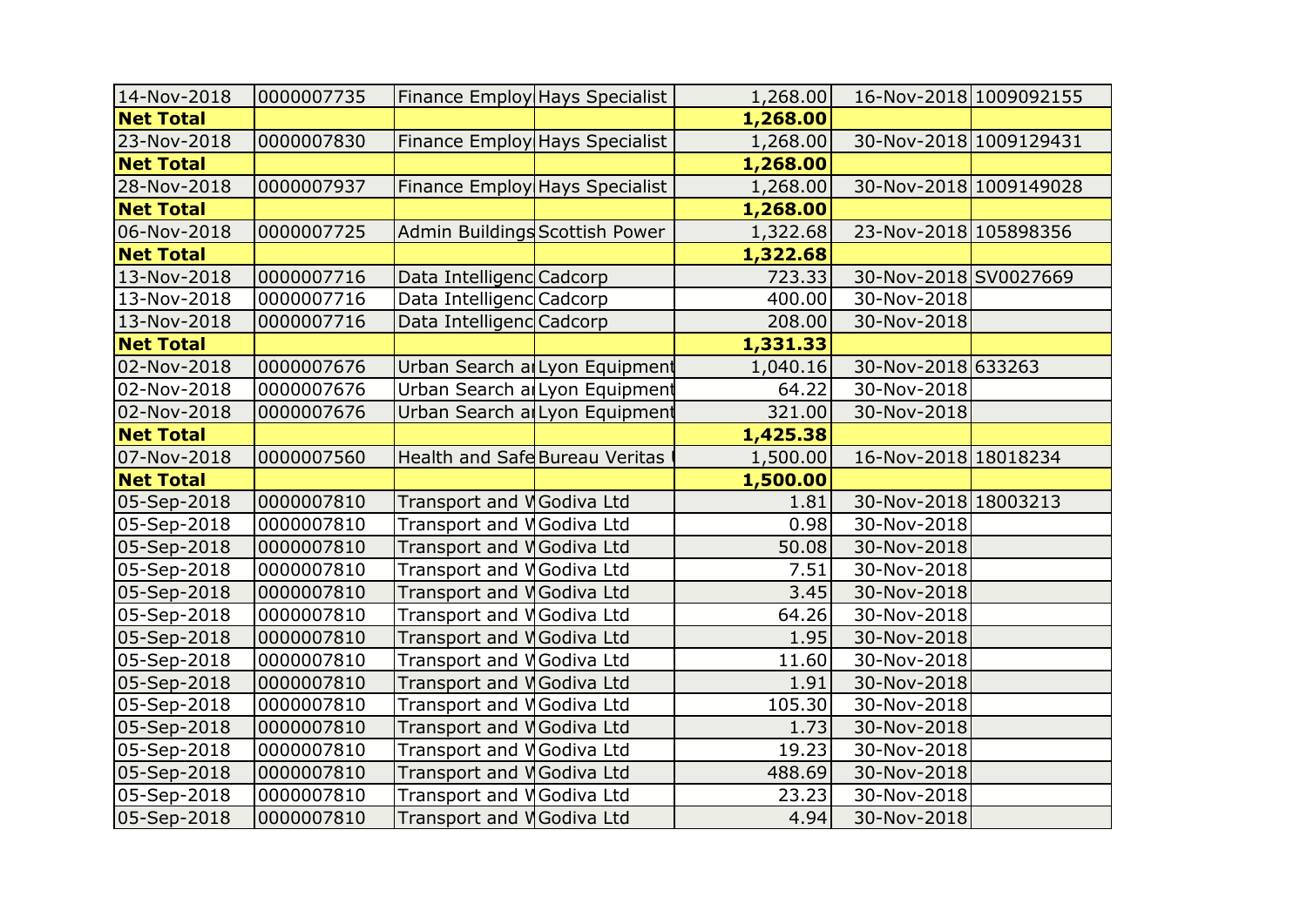| 14-Nov-2018      | 0000007735 |                                   | Finance Employ Hays Specialist | 1,268.00 | 16-Nov-2018 1009092155 |  |
|------------------|------------|-----------------------------------|--------------------------------|----------|------------------------|--|
| <b>Net Total</b> |            |                                   |                                | 1,268.00 |                        |  |
| 23-Nov-2018      | 0000007830 |                                   | Finance Employ Hays Specialist | 1,268.00 | 30-Nov-2018 1009129431 |  |
| <b>Net Total</b> |            |                                   |                                | 1,268.00 |                        |  |
| 28-Nov-2018      | 0000007937 |                                   | Finance Employ Hays Specialist | 1,268.00 | 30-Nov-2018 1009149028 |  |
| <b>Net Total</b> |            |                                   |                                | 1,268.00 |                        |  |
| 06-Nov-2018      | 0000007725 | Admin Buildings Scottish Power    |                                | 1,322.68 | 23-Nov-2018 105898356  |  |
| <b>Net Total</b> |            |                                   |                                | 1,322.68 |                        |  |
| 13-Nov-2018      | 0000007716 | Data Intelligenc Cadcorp          |                                | 723.33   | 30-Nov-2018 SV0027669  |  |
| 13-Nov-2018      | 0000007716 | Data IntelligencCadcorp           |                                | 400.00   | 30-Nov-2018            |  |
| 13-Nov-2018      | 0000007716 | Data Intelligenc Cadcorp          |                                | 208.00   | 30-Nov-2018            |  |
| <b>Net Total</b> |            |                                   |                                | 1,331.33 |                        |  |
| 02-Nov-2018      | 0000007676 |                                   | Urban Search al Lyon Equipment | 1,040.16 | 30-Nov-2018 633263     |  |
| 02-Nov-2018      | 0000007676 |                                   | Urban Search alLyon Equipment  | 64.22    | 30-Nov-2018            |  |
| 02-Nov-2018      | 0000007676 |                                   | Urban Search al Lyon Equipment | 321.00   | 30-Nov-2018            |  |
| <b>Net Total</b> |            |                                   |                                | 1,425.38 |                        |  |
| 07-Nov-2018      | 0000007560 | Health and Safe Bureau Veritas    |                                | 1,500.00 | 16-Nov-2018 18018234   |  |
| <b>Net Total</b> |            |                                   |                                | 1,500.00 |                        |  |
| 05-Sep-2018      | 0000007810 | Transport and VGodiva Ltd         |                                | 1.81     | 30-Nov-2018 18003213   |  |
| 05-Sep-2018      | 0000007810 | Transport and <i>N</i> Godiva Ltd |                                | 0.98     | 30-Nov-2018            |  |
| 05-Sep-2018      | 0000007810 | Transport and <i>N</i> Godiva Ltd |                                | 50.08    | 30-Nov-2018            |  |
| 05-Sep-2018      | 0000007810 | Transport and <i>N</i> Godiva Ltd |                                | 7.51     | 30-Nov-2018            |  |
| 05-Sep-2018      | 0000007810 | Transport and <i>N</i> Godiva Ltd |                                | 3.45     | 30-Nov-2018            |  |
| 05-Sep-2018      | 0000007810 | Transport and V Godiva Ltd        |                                | 64.26    | 30-Nov-2018            |  |
| 05-Sep-2018      | 0000007810 | Transport and <i>N</i> Godiva Ltd |                                | 1.95     | 30-Nov-2018            |  |
| 05-Sep-2018      | 0000007810 | Transport and <i>N</i> Godiva Ltd |                                | 11.60    | 30-Nov-2018            |  |
| 05-Sep-2018      |            |                                   |                                | 1.91     | 30-Nov-2018            |  |
|                  | 0000007810 | Transport and VGodiva Ltd         |                                |          |                        |  |
| 05-Sep-2018      | 0000007810 | Transport and <i>N</i> Godiva Ltd |                                | 105.30   | 30-Nov-2018            |  |
| 05-Sep-2018      | 0000007810 | Transport and V Godiva Ltd        |                                | 1.73     | 30-Nov-2018            |  |
| 05-Sep-2018      | 0000007810 | Transport and VGodiva Ltd         |                                | 19.23    | 30-Nov-2018            |  |
| 05-Sep-2018      | 0000007810 | Transport and <i>N</i> Godiva Ltd |                                | 488.69   | 30-Nov-2018            |  |
| 05-Sep-2018      | 0000007810 | Transport and VGodiva Ltd         |                                | 23.23    | 30-Nov-2018            |  |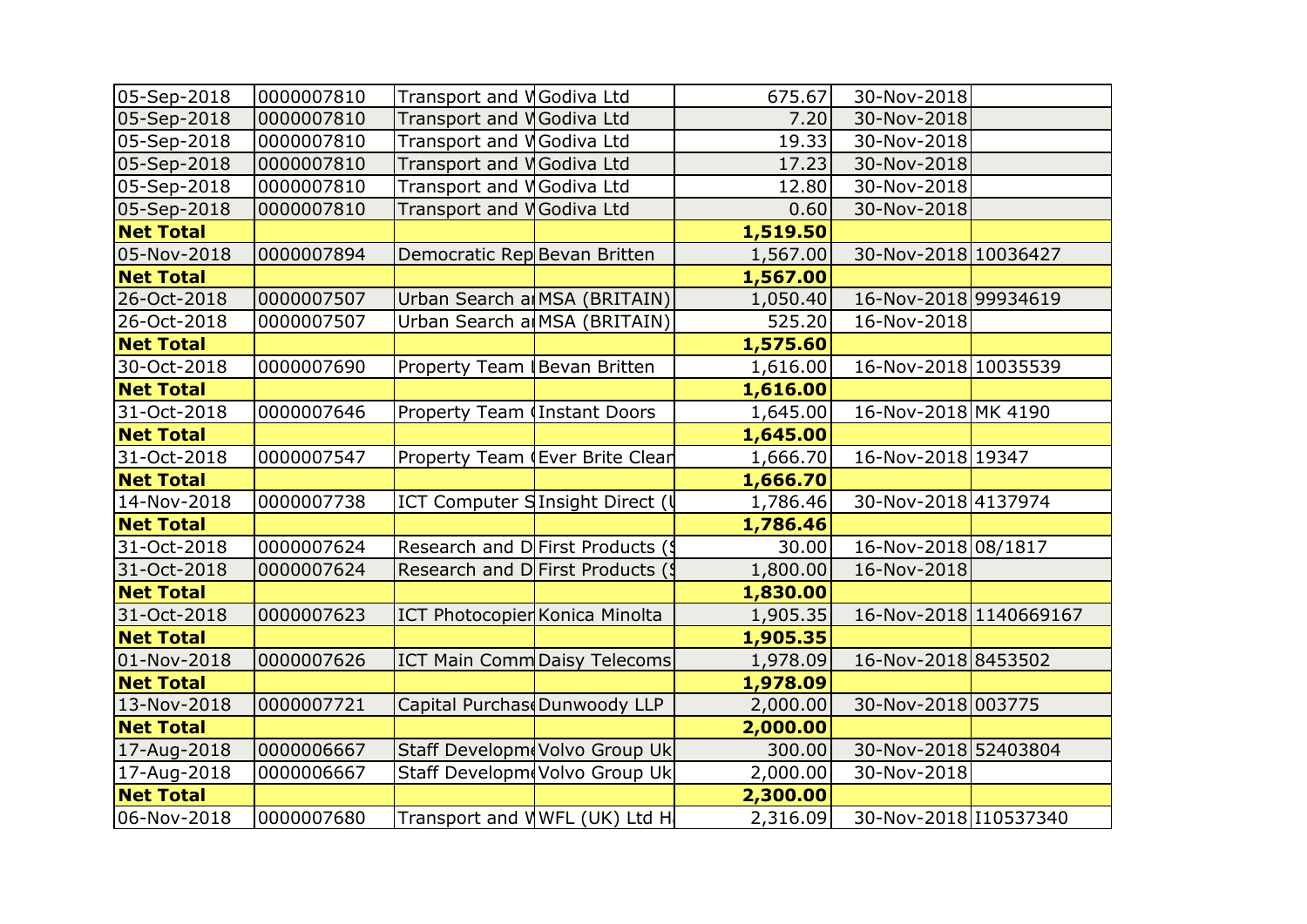| 05-Sep-2018      | 0000007810 | Transport and VGodiva Ltd         |                                     | 675.67   | 30-Nov-2018            |  |
|------------------|------------|-----------------------------------|-------------------------------------|----------|------------------------|--|
| 05-Sep-2018      | 0000007810 | Transport and <i>N</i> Godiva Ltd |                                     | 7.20     | 30-Nov-2018            |  |
| 05-Sep-2018      | 0000007810 | Transport and VGodiva Ltd         |                                     | 19.33    | 30-Nov-2018            |  |
| 05-Sep-2018      | 0000007810 | Transport and <i>N</i> Godiva Ltd |                                     | 17.23    | 30-Nov-2018            |  |
| 05-Sep-2018      | 0000007810 | Transport and VGodiva Ltd         |                                     | 12.80    | 30-Nov-2018            |  |
| 05-Sep-2018      | 0000007810 | Transport and <i>N</i> Godiva Ltd |                                     | 0.60     | 30-Nov-2018            |  |
| <b>Net Total</b> |            |                                   |                                     | 1,519.50 |                        |  |
| 05-Nov-2018      | 0000007894 | Democratic Rep Bevan Britten      |                                     | 1,567.00 | 30-Nov-2018 10036427   |  |
| <b>Net Total</b> |            |                                   |                                     | 1,567.00 |                        |  |
| 26-Oct-2018      | 0000007507 |                                   | Urban Search a MSA (BRITAIN)        | 1,050.40 | 16-Nov-2018 99934619   |  |
| 26-Oct-2018      | 0000007507 |                                   | Urban Search a MSA (BRITAIN)        | 525.20   | 16-Nov-2018            |  |
| <b>Net Total</b> |            |                                   |                                     | 1,575.60 |                        |  |
| 30-Oct-2018      | 0000007690 | Property Team Bevan Britten       |                                     | 1,616.00 | 16-Nov-2018 10035539   |  |
| <b>Net Total</b> |            |                                   |                                     | 1,616.00 |                        |  |
| 31-Oct-2018      | 0000007646 | Property Team (Instant Doors      |                                     | 1,645.00 | 16-Nov-2018 MK 4190    |  |
| <b>Net Total</b> |            |                                   |                                     | 1,645.00 |                        |  |
| 31-Oct-2018      | 0000007547 |                                   | Property Team (Ever Brite Clean     | 1,666.70 | 16-Nov-2018 19347      |  |
| <b>Net Total</b> |            |                                   |                                     | 1,666.70 |                        |  |
| 14-Nov-2018      | 0000007738 |                                   | ICT Computer SInsight Direct (1     | 1,786.46 | 30-Nov-2018 4137974    |  |
| <b>Net Total</b> |            |                                   |                                     | 1,786.46 |                        |  |
| 31-Oct-2018      | 0000007624 | Research and D First Products (   |                                     | 30.00    | 16-Nov-2018 08/1817    |  |
| 31-Oct-2018      | 0000007624 | Research and D First Products (   |                                     | 1,800.00 | 16-Nov-2018            |  |
| <b>Net Total</b> |            |                                   |                                     | 1,830.00 |                        |  |
| 31-Oct-2018      | 0000007623 | ICT Photocopier Konica Minolta    |                                     | 1,905.35 | 16-Nov-2018 1140669167 |  |
| <b>Net Total</b> |            |                                   |                                     | 1,905.35 |                        |  |
| 01-Nov-2018      | 0000007626 |                                   | <b>ICT Main Comm Daisy Telecoms</b> | 1,978.09 | 16-Nov-2018 8453502    |  |
| <b>Net Total</b> |            |                                   |                                     | 1,978.09 |                        |  |
| 13-Nov-2018      | 0000007721 | Capital Purchas Dunwoody LLP      |                                     | 2,000.00 | 30-Nov-2018 003775     |  |
| <b>Net Total</b> |            |                                   |                                     | 2,000.00 |                        |  |
| 17-Aug-2018      | 0000006667 |                                   | Staff Developm Volvo Group Uk       | 300.00   | 30-Nov-2018 52403804   |  |
| 17-Aug-2018      | 0000006667 |                                   | Staff Developm Volvo Group Uk       | 2,000.00 | 30-Nov-2018            |  |
| <b>Net Total</b> |            |                                   |                                     | 2,300.00 |                        |  |
| 06-Nov-2018      | 0000007680 |                                   | Transport and VWFL (UK) Ltd H       | 2,316.09 | 30-Nov-2018 10537340   |  |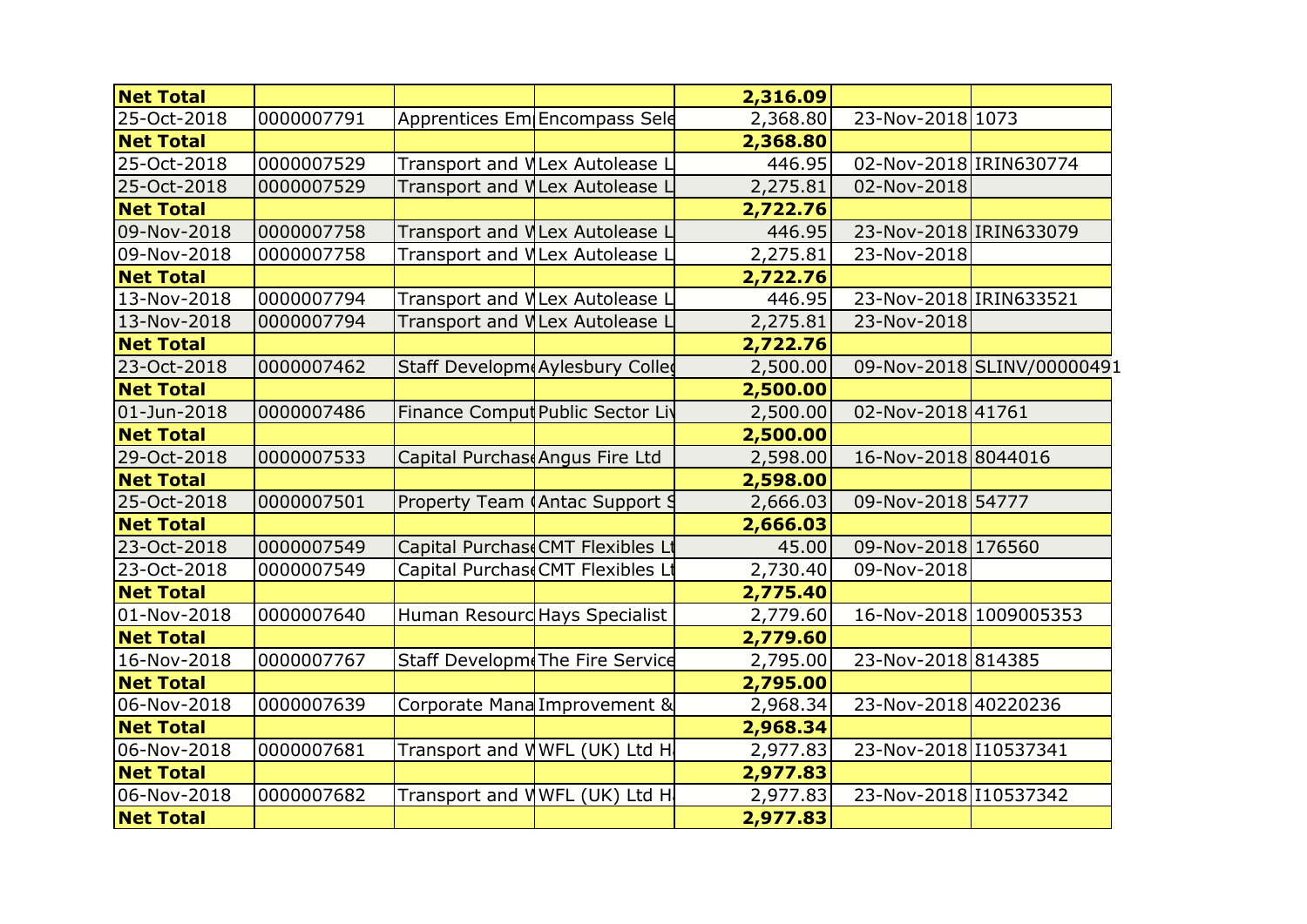| <b>Net Total</b> |            |                                 |                                  | 2,316.09 |                        |                            |
|------------------|------------|---------------------------------|----------------------------------|----------|------------------------|----------------------------|
| 25-Oct-2018      | 0000007791 |                                 | Apprentices Em Encompass Sele    | 2,368.80 | 23-Nov-2018 1073       |                            |
| <b>Net Total</b> |            |                                 |                                  | 2,368.80 |                        |                            |
| 25-Oct-2018      | 0000007529 | Transport and VLex Autolease I  |                                  | 446.95   | 02-Nov-2018 IRIN630774 |                            |
| 25-Oct-2018      | 0000007529 | Transport and VLex Autolease    |                                  | 2,275.81 | 02-Nov-2018            |                            |
| <b>Net Total</b> |            |                                 |                                  | 2,722.76 |                        |                            |
| 09-Nov-2018      | 0000007758 | Transport and VLex Autolease I  |                                  | 446.95   | 23-Nov-2018 IRIN633079 |                            |
| 09-Nov-2018      | 0000007758 | Transport and VLex Autolease I  |                                  | 2,275.81 | 23-Nov-2018            |                            |
| <b>Net Total</b> |            |                                 |                                  | 2,722.76 |                        |                            |
| 13-Nov-2018      | 0000007794 | Transport and VLex Autolease I  |                                  | 446.95   | 23-Nov-2018 IRIN633521 |                            |
| 13-Nov-2018      | 0000007794 | Transport and VILex Autolease I |                                  | 2,275.81 | 23-Nov-2018            |                            |
| <b>Net Total</b> |            |                                 |                                  | 2,722.76 |                        |                            |
| 23-Oct-2018      | 0000007462 |                                 | Staff Developm Aylesbury Colled  | 2,500.00 |                        | 09-Nov-2018 SLINV/00000491 |
| <b>Net Total</b> |            |                                 |                                  | 2,500.00 |                        |                            |
| 01-Jun-2018      | 0000007486 |                                 | Finance Comput Public Sector Liv | 2,500.00 | 02-Nov-2018 41761      |                            |
| <b>Net Total</b> |            |                                 |                                  | 2,500.00 |                        |                            |
| 29-Oct-2018      | 0000007533 | Capital Purchas Angus Fire Ltd  |                                  | 2,598.00 | 16-Nov-2018 8044016    |                            |
| <b>Net Total</b> |            |                                 |                                  | 2,598.00 |                        |                            |
| 25-Oct-2018      | 0000007501 |                                 | Property Team (Antac Support S   | 2,666.03 | 09-Nov-2018 54777      |                            |
| <b>Net Total</b> |            |                                 |                                  | 2,666.03 |                        |                            |
| 23-Oct-2018      | 0000007549 | Capital Purchas CMT Flexibles L |                                  | 45.00    | 09-Nov-2018 176560     |                            |
| 23-Oct-2018      | 0000007549 | Capital PurchaseCMT Flexibles L |                                  | 2,730.40 | 09-Nov-2018            |                            |
| <b>Net Total</b> |            |                                 |                                  | 2,775.40 |                        |                            |
| 01-Nov-2018      | 0000007640 | Human Resourd Hays Specialist   |                                  | 2,779.60 | 16-Nov-2018 1009005353 |                            |
| <b>Net Total</b> |            |                                 |                                  | 2,779.60 |                        |                            |
| 16-Nov-2018      | 0000007767 |                                 | Staff Developm The Fire Service  | 2,795.00 | 23-Nov-2018 814385     |                            |
| <b>Net Total</b> |            |                                 |                                  | 2,795.00 |                        |                            |
| 06-Nov-2018      | 0000007639 |                                 | Corporate Mana Improvement &     | 2,968.34 | 23-Nov-2018 40220236   |                            |
| <b>Net Total</b> |            |                                 |                                  | 2,968.34 |                        |                            |
| 06-Nov-2018      | 0000007681 |                                 | Transport and VWFL (UK) Ltd H.   | 2,977.83 | 23-Nov-2018 10537341   |                            |
| <b>Net Total</b> |            |                                 |                                  | 2,977.83 |                        |                            |
| 06-Nov-2018      | 0000007682 |                                 | Transport and VWFL (UK) Ltd H    | 2,977.83 | 23-Nov-2018 10537342   |                            |
| <b>Net Total</b> |            |                                 |                                  | 2,977.83 |                        |                            |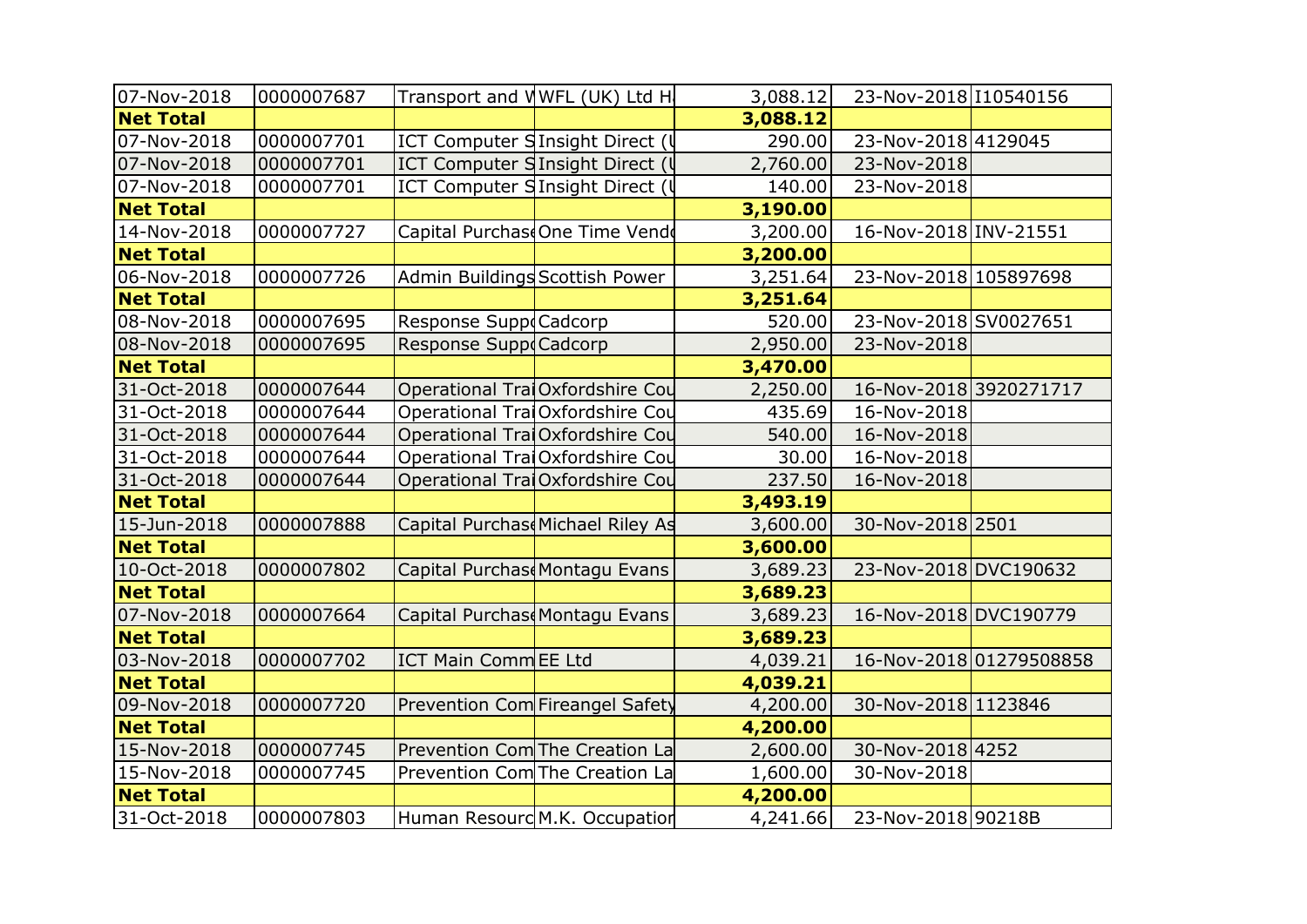| 07-Nov-2018      | 0000007687 |                                | Transport and VWFL (UK) Ltd H    | 3,088.12 | 23-Nov-2018 10540156   |                         |
|------------------|------------|--------------------------------|----------------------------------|----------|------------------------|-------------------------|
| <b>Net Total</b> |            |                                |                                  | 3,088.12 |                        |                         |
| 07-Nov-2018      | 0000007701 |                                | ICT Computer SInsight Direct (   | 290.00   | 23-Nov-2018 4129045    |                         |
| 07-Nov-2018      | 0000007701 |                                | ICT Computer SInsight Direct (1) | 2,760.00 | 23-Nov-2018            |                         |
| 07-Nov-2018      | 0000007701 |                                | ICT Computer SInsight Direct (   | 140.00   | 23-Nov-2018            |                         |
| <b>Net Total</b> |            |                                |                                  | 3,190.00 |                        |                         |
| 14-Nov-2018      | 0000007727 |                                | Capital Purchas One Time Vend    | 3,200.00 | 16-Nov-2018 INV-21551  |                         |
| <b>Net Total</b> |            |                                |                                  | 3,200.00 |                        |                         |
| 06-Nov-2018      | 0000007726 | Admin Buildings Scottish Power |                                  | 3,251.64 | 23-Nov-2018 105897698  |                         |
| <b>Net Total</b> |            |                                |                                  | 3,251.64 |                        |                         |
| 08-Nov-2018      | 0000007695 | Response SuppoCadcorp          |                                  | 520.00   | 23-Nov-2018 SV0027651  |                         |
| 08-Nov-2018      | 0000007695 | Response SuppoCadcorp          |                                  | 2,950.00 | 23-Nov-2018            |                         |
| <b>Net Total</b> |            |                                |                                  | 3,470.00 |                        |                         |
| 31-Oct-2018      | 0000007644 |                                | Operational TraiOxfordshire Cou  | 2,250.00 | 16-Nov-2018 3920271717 |                         |
| 31-Oct-2018      | 0000007644 |                                | Operational TraiOxfordshire Cou  | 435.69   | 16-Nov-2018            |                         |
| 31-Oct-2018      | 0000007644 |                                | Operational TraiOxfordshire Cou  | 540.00   | 16-Nov-2018            |                         |
| 31-Oct-2018      | 0000007644 |                                | Operational TraiOxfordshire Cou  | 30.00    | 16-Nov-2018            |                         |
| 31-Oct-2018      | 0000007644 |                                | Operational TraiOxfordshire Cou  | 237.50   | 16-Nov-2018            |                         |
| <b>Net Total</b> |            |                                |                                  | 3,493.19 |                        |                         |
| 15-Jun-2018      | 0000007888 |                                | Capital Purchas Michael Riley As | 3,600.00 | 30-Nov-2018 2501       |                         |
| <b>Net Total</b> |            |                                |                                  | 3,600.00 |                        |                         |
| 10-Oct-2018      | 0000007802 |                                | Capital Purchas Montagu Evans    | 3,689.23 | 23-Nov-2018 DVC190632  |                         |
| <b>Net Total</b> |            |                                |                                  | 3,689.23 |                        |                         |
| 07-Nov-2018      | 0000007664 |                                | Capital Purchas Montagu Evans    | 3,689.23 | 16-Nov-2018 DVC190779  |                         |
| <b>Net Total</b> |            |                                |                                  | 3,689.23 |                        |                         |
| 03-Nov-2018      | 0000007702 | ICT Main CommEE Ltd            |                                  | 4,039.21 |                        | 16-Nov-2018 01279508858 |
| <b>Net Total</b> |            |                                |                                  | 4,039.21 |                        |                         |
| 09-Nov-2018      | 0000007720 |                                | Prevention Com Fireangel Safety  | 4,200.00 | 30-Nov-2018 1123846    |                         |
| <b>Net Total</b> |            |                                |                                  | 4,200.00 |                        |                         |
| 15-Nov-2018      | 0000007745 |                                | Prevention Com The Creation La   | 2,600.00 | 30-Nov-2018 4252       |                         |
| 15-Nov-2018      | 0000007745 |                                | Prevention Com The Creation La   | 1,600.00 | 30-Nov-2018            |                         |
| <b>Net Total</b> |            |                                |                                  | 4,200.00 |                        |                         |
| 31-Oct-2018      | 0000007803 |                                | Human Resourd M.K. Occupation    | 4,241.66 | 23-Nov-2018 90218B     |                         |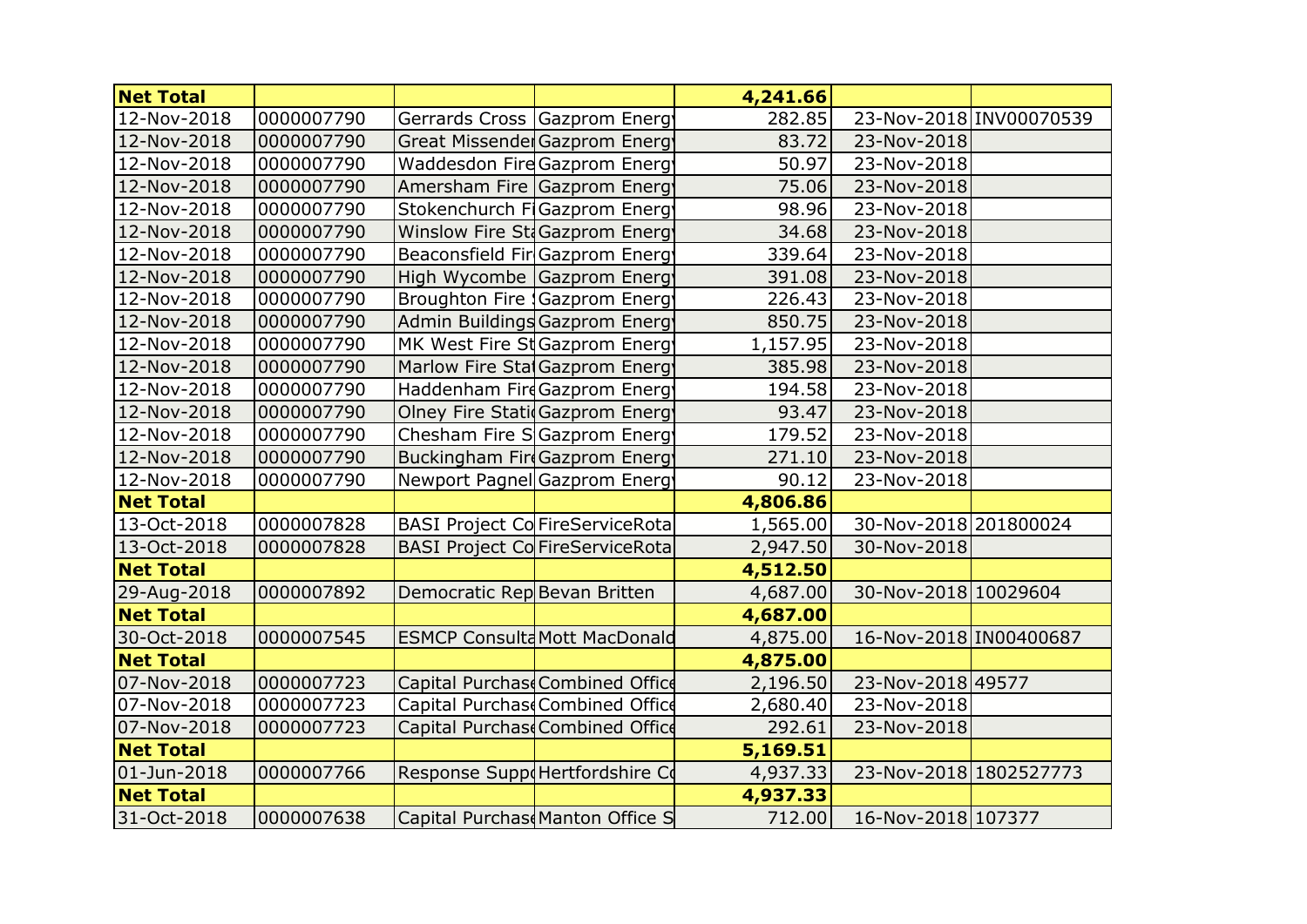| <b>Net Total</b> |            |                              |                                        | 4,241.66 |                        |                         |
|------------------|------------|------------------------------|----------------------------------------|----------|------------------------|-------------------------|
| 12-Nov-2018      | 0000007790 |                              | Gerrards Cross Gazprom Energy          | 282.85   |                        | 23-Nov-2018 INV00070539 |
| 12-Nov-2018      | 0000007790 |                              | Great Missender Gazprom Energy         | 83.72    | 23-Nov-2018            |                         |
| 12-Nov-2018      | 0000007790 |                              | Waddesdon Fire Gazprom Energy          | 50.97    | 23-Nov-2018            |                         |
| 12-Nov-2018      | 0000007790 |                              | Amersham Fire Gazprom Energy           | 75.06    | 23-Nov-2018            |                         |
| 12-Nov-2018      | 0000007790 |                              | Stokenchurch FiGazprom Energy          | 98.96    | 23-Nov-2018            |                         |
| 12-Nov-2018      | 0000007790 |                              | Winslow Fire St. Gazprom Energy        | 34.68    | 23-Nov-2018            |                         |
| 12-Nov-2018      | 0000007790 |                              | Beaconsfield Fir Gazprom Energy        | 339.64   | 23-Nov-2018            |                         |
| 12-Nov-2018      | 0000007790 |                              | High Wycombe Gazprom Energy            | 391.08   | 23-Nov-2018            |                         |
| 12-Nov-2018      | 0000007790 |                              | Broughton Fire Gazprom Energy          | 226.43   | 23-Nov-2018            |                         |
| 12-Nov-2018      | 0000007790 |                              | Admin Buildings Gazprom Energy         | 850.75   | 23-Nov-2018            |                         |
| 12-Nov-2018      | 0000007790 |                              | MK West Fire St Gazprom Energy         | 1,157.95 | 23-Nov-2018            |                         |
| 12-Nov-2018      | 0000007790 |                              | Marlow Fire Stat Gazprom Energy        | 385.98   | 23-Nov-2018            |                         |
| 12-Nov-2018      | 0000007790 |                              | Haddenham Fire Gazprom Energy          | 194.58   | 23-Nov-2018            |                         |
| 12-Nov-2018      | 0000007790 |                              | Olney Fire Stati Gazprom Energy        | 93.47    | 23-Nov-2018            |                         |
| 12-Nov-2018      | 0000007790 |                              | Chesham Fire SGazprom Energy           | 179.52   | 23-Nov-2018            |                         |
| 12-Nov-2018      | 0000007790 |                              | Buckingham FireGazprom Energy          | 271.10   | 23-Nov-2018            |                         |
| 12-Nov-2018      | 0000007790 |                              | Newport Pagnel Gazprom Energy          | 90.12    | 23-Nov-2018            |                         |
| <b>Net Total</b> |            |                              |                                        | 4,806.86 |                        |                         |
| 13-Oct-2018      | 0000007828 |                              | <b>BASI Project Co FireServiceRota</b> | 1,565.00 | 30-Nov-2018 201800024  |                         |
| 13-Oct-2018      | 0000007828 |                              | <b>BASI Project Co FireServiceRota</b> | 2,947.50 | 30-Nov-2018            |                         |
| <b>Net Total</b> |            |                              |                                        | 4,512.50 |                        |                         |
| 29-Aug-2018      | 0000007892 | Democratic Rep Bevan Britten |                                        | 4,687.00 | 30-Nov-2018 10029604   |                         |
| <b>Net Total</b> |            |                              |                                        | 4,687.00 |                        |                         |
| 30-Oct-2018      | 0000007545 |                              | <b>ESMCP Consulta Mott MacDonald</b>   | 4,875.00 | 16-Nov-2018 IN00400687 |                         |
| <b>Net Total</b> |            |                              |                                        | 4,875.00 |                        |                         |
| 07-Nov-2018      | 0000007723 |                              | Capital Purchas Combined Office        | 2,196.50 | 23-Nov-2018 49577      |                         |
| 07-Nov-2018      | 0000007723 |                              | Capital Purchase Combined Office       | 2,680.40 | 23-Nov-2018            |                         |
| 07-Nov-2018      | 0000007723 |                              | Capital Purchase Combined Office       | 292.61   | 23-Nov-2018            |                         |
| <b>Net Total</b> |            |                              |                                        | 5,169.51 |                        |                         |
| 01-Jun-2018      | 0000007766 |                              | Response SuppoHertfordshire Co         | 4,937.33 | 23-Nov-2018 1802527773 |                         |
| <b>Net Total</b> |            |                              |                                        | 4,937.33 |                        |                         |
| 31-Oct-2018      | 0000007638 |                              | Capital Purchase Manton Office S       | 712.00   | 16-Nov-2018 107377     |                         |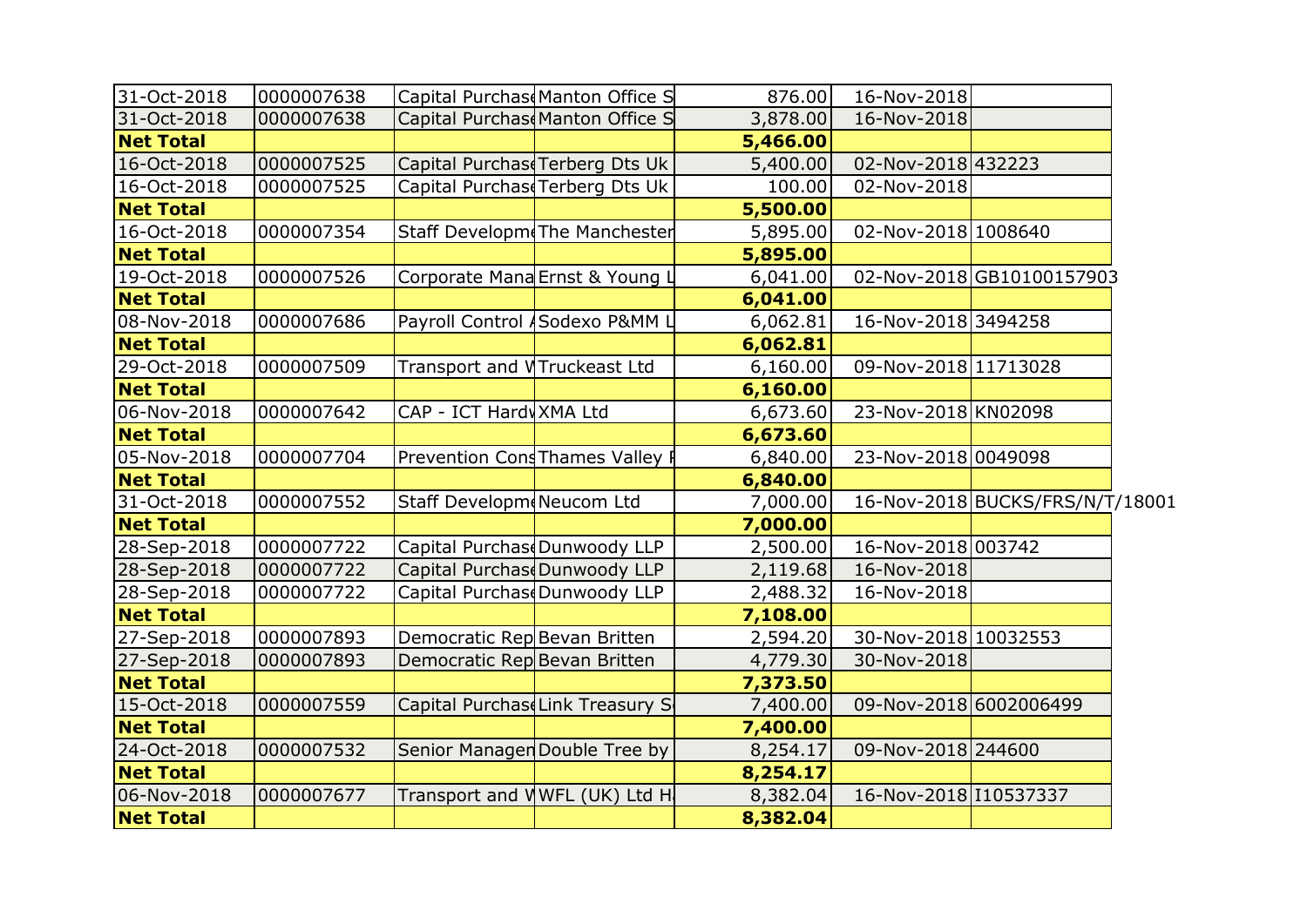| 31-Oct-2018      | 0000007638 | Capital Purchas Manton Office S      | 876.00   | 16-Nov-2018            |                                 |  |
|------------------|------------|--------------------------------------|----------|------------------------|---------------------------------|--|
| 31-Oct-2018      | 0000007638 | Capital Purchas Manton Office S      | 3,878.00 | 16-Nov-2018            |                                 |  |
| <b>Net Total</b> |            |                                      | 5,466.00 |                        |                                 |  |
| 16-Oct-2018      | 0000007525 | Capital Purchas Terberg Dts Uk       | 5,400.00 | 02-Nov-2018 432223     |                                 |  |
| 16-Oct-2018      | 0000007525 | Capital Purchas Terberg Dts Uk       | 100.00   | 02-Nov-2018            |                                 |  |
| <b>Net Total</b> |            |                                      | 5,500.00 |                        |                                 |  |
| 16-Oct-2018      | 0000007354 | Staff Developm The Manchester        | 5,895.00 | 02-Nov-2018 1008640    |                                 |  |
| <b>Net Total</b> |            |                                      | 5,895.00 |                        |                                 |  |
| 19-Oct-2018      | 0000007526 | Corporate Mana Ernst & Young L       | 6,041.00 |                        | 02-Nov-2018GB10100157903        |  |
| <b>Net Total</b> |            |                                      | 6,041.00 |                        |                                 |  |
| 08-Nov-2018      | 0000007686 | Payroll Control ASodexo P&MM L       | 6,062.81 | 16-Nov-2018 3494258    |                                 |  |
| <b>Net Total</b> |            |                                      | 6,062.81 |                        |                                 |  |
| 29-Oct-2018      | 0000007509 | Transport and <i>N</i> Truckeast Ltd | 6,160.00 | 09-Nov-2018 11713028   |                                 |  |
| <b>Net Total</b> |            |                                      | 6,160.00 |                        |                                 |  |
| 06-Nov-2018      | 0000007642 | CAP - ICT Hardy XMA Ltd              | 6,673.60 | 23-Nov-2018 KN02098    |                                 |  |
| <b>Net Total</b> |            |                                      | 6,673.60 |                        |                                 |  |
| 05-Nov-2018      | 0000007704 | Prevention Cons Thames Valley F      | 6,840.00 | 23-Nov-2018 0049098    |                                 |  |
| <b>Net Total</b> |            |                                      | 6,840.00 |                        |                                 |  |
| 31-Oct-2018      | 0000007552 | Staff Developm Neucom Ltd            | 7,000.00 |                        | 16-Nov-2018 BUCKS/FRS/N/T/18001 |  |
| <b>Net Total</b> |            |                                      | 7,000.00 |                        |                                 |  |
| 28-Sep-2018      | 0000007722 | Capital Purchas Dunwoody LLP         | 2,500.00 | 16-Nov-2018 003742     |                                 |  |
| 28-Sep-2018      | 0000007722 | Capital Purchas Dunwoody LLP         | 2,119.68 | 16-Nov-2018            |                                 |  |
| 28-Sep-2018      | 0000007722 | Capital Purchas Dunwoody LLP         | 2,488.32 | 16-Nov-2018            |                                 |  |
| <b>Net Total</b> |            |                                      | 7,108.00 |                        |                                 |  |
| 27-Sep-2018      | 0000007893 | Democratic Rep Bevan Britten         | 2,594.20 | 30-Nov-2018 10032553   |                                 |  |
| 27-Sep-2018      | 0000007893 | Democratic Rep Bevan Britten         | 4,779.30 | 30-Nov-2018            |                                 |  |
| <b>Net Total</b> |            |                                      | 7,373.50 |                        |                                 |  |
| 15-Oct-2018      | 0000007559 | Capital Purchas Link Treasury S      | 7,400.00 | 09-Nov-2018 6002006499 |                                 |  |
| <b>Net Total</b> |            |                                      | 7,400.00 |                        |                                 |  |
| 24-Oct-2018      | 0000007532 | Senior Managen Double Tree by        | 8,254.17 | 09-Nov-2018 244600     |                                 |  |
| <b>Net Total</b> |            |                                      | 8,254.17 |                        |                                 |  |
| 06-Nov-2018      | 0000007677 | Transport and V WFL (UK) Ltd H       | 8,382.04 | 16-Nov-2018 10537337   |                                 |  |
| <b>Net Total</b> |            |                                      | 8,382.04 |                        |                                 |  |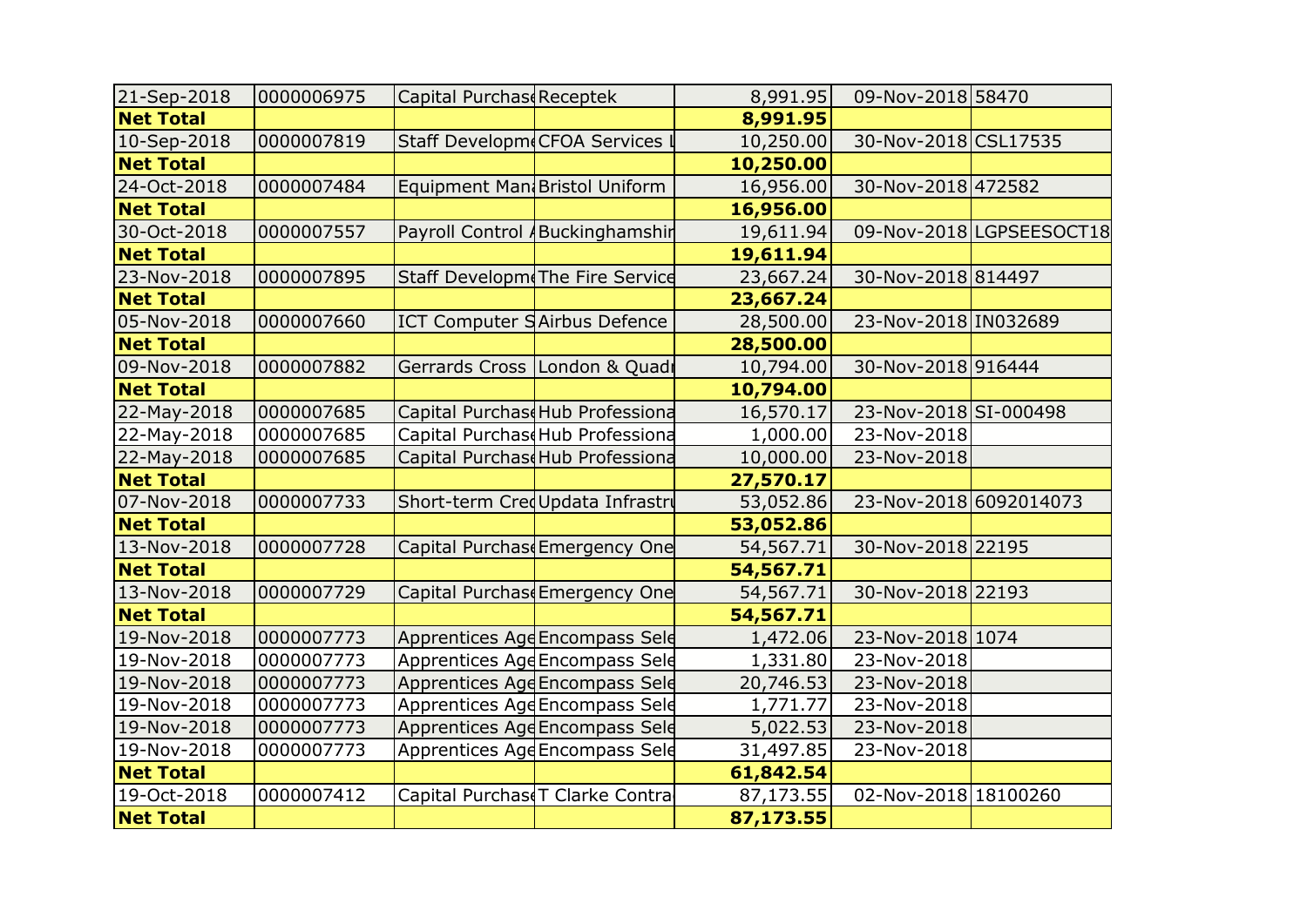| 21-Sep-2018      | 0000006975 | Capital Purchas Receptek            |                                  | 8,991.95  | 09-Nov-2018 58470      |                          |
|------------------|------------|-------------------------------------|----------------------------------|-----------|------------------------|--------------------------|
| <b>Net Total</b> |            |                                     |                                  | 8,991.95  |                        |                          |
| 10-Sep-2018      | 0000007819 |                                     | Staff Developm CFOA Services I   | 10,250.00 | 30-Nov-2018 CSL17535   |                          |
| <b>Net Total</b> |            |                                     |                                  | 10,250.00 |                        |                          |
| 24-Oct-2018      | 0000007484 | Equipment Man Bristol Uniform       |                                  | 16,956.00 | 30-Nov-2018 472582     |                          |
| <b>Net Total</b> |            |                                     |                                  | 16,956.00 |                        |                          |
| 30-Oct-2018      | 0000007557 |                                     | Payroll Control ABuckinghamshir  | 19,611.94 |                        | 09-Nov-2018 LGPSEESOCT18 |
| <b>Net Total</b> |            |                                     |                                  | 19,611.94 |                        |                          |
| 23-Nov-2018      | 0000007895 |                                     | Staff Developm The Fire Service  | 23,667.24 | 30-Nov-2018 814497     |                          |
| <b>Net Total</b> |            |                                     |                                  | 23,667.24 |                        |                          |
| 05-Nov-2018      | 0000007660 | <b>ICT Computer SAirbus Defence</b> |                                  | 28,500.00 | 23-Nov-2018 IN032689   |                          |
| <b>Net Total</b> |            |                                     |                                  | 28,500.00 |                        |                          |
| 09-Nov-2018      | 0000007882 |                                     | Gerrards Cross London & Quadi    | 10,794.00 | 30-Nov-2018 916444     |                          |
| <b>Net Total</b> |            |                                     |                                  | 10,794.00 |                        |                          |
| 22-May-2018      | 0000007685 |                                     | Capital Purchas Hub Professiona  | 16,570.17 | 23-Nov-2018 SI-000498  |                          |
| 22-May-2018      | 0000007685 |                                     | Capital Purchas Hub Professiona  | 1,000.00  | 23-Nov-2018            |                          |
| 22-May-2018      | 0000007685 |                                     | Capital Purchas Hub Professiona  | 10,000.00 | 23-Nov-2018            |                          |
| <b>Net Total</b> |            |                                     |                                  | 27,570.17 |                        |                          |
| 07-Nov-2018      | 0000007733 |                                     | Short-term CredUpdata Infrastru  | 53,052.86 | 23-Nov-2018 6092014073 |                          |
| <b>Net Total</b> |            |                                     |                                  | 53,052.86 |                        |                          |
| 13-Nov-2018      | 0000007728 |                                     | Capital Purchas Emergency One    | 54,567.71 | 30-Nov-2018 22195      |                          |
| <b>Net Total</b> |            |                                     |                                  | 54,567.71 |                        |                          |
| 13-Nov-2018      | 0000007729 |                                     | Capital Purchas Emergency One    | 54,567.71 | 30-Nov-2018 22193      |                          |
| <b>Net Total</b> |            |                                     |                                  | 54,567.71 |                        |                          |
| 19-Nov-2018      | 0000007773 |                                     | Apprentices AgeEncompass Sele    | 1,472.06  | 23-Nov-2018 1074       |                          |
| 19-Nov-2018      | 0000007773 |                                     | Apprentices AgeEncompass Sele    | 1,331.80  | 23-Nov-2018            |                          |
| 19-Nov-2018      | 0000007773 |                                     | Apprentices AgeEncompass Sele    | 20,746.53 | 23-Nov-2018            |                          |
| 19-Nov-2018      | 0000007773 |                                     | Apprentices AgeEncompass Sele    | 1,771.77  | 23-Nov-2018            |                          |
| 19-Nov-2018      | 0000007773 |                                     | Apprentices Age Encompass Sele   | 5,022.53  | 23-Nov-2018            |                          |
| 19-Nov-2018      | 0000007773 |                                     | Apprentices AgeEncompass Sele    | 31,497.85 | 23-Nov-2018            |                          |
| <b>Net Total</b> |            |                                     |                                  | 61,842.54 |                        |                          |
| 19-Oct-2018      | 0000007412 |                                     | Capital Purchasd T Clarke Contra | 87,173.55 | 02-Nov-2018 18100260   |                          |
| <b>Net Total</b> |            |                                     |                                  | 87,173.55 |                        |                          |